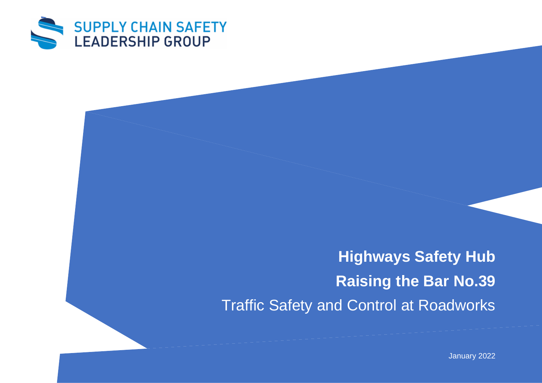

**Highways Safety Hub Raising the Bar No.39** Traffic Safety and Control at Roadworks

January 2022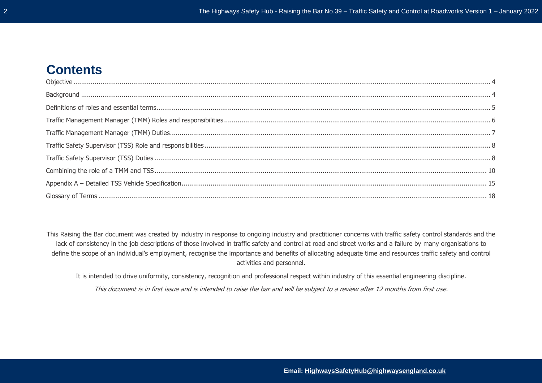# **Contents**

This Raising the Bar document was created by industry in response to ongoing industry and practitioner concerns with traffic safety control standards and the lack of consistency in the job descriptions of those involved in traffic safety and control at road and street works and a failure by many organisations to define the scope of an individual's employment, recognise the importance and benefits of allocating adequate time and resources traffic safety and control activities and personnel.

It is intended to drive uniformity, consistency, recognition and professional respect within industry of this essential engineering discipline.

This document is in first issue and is intended to raise the bar and will be subject to a review after 12 months from first use.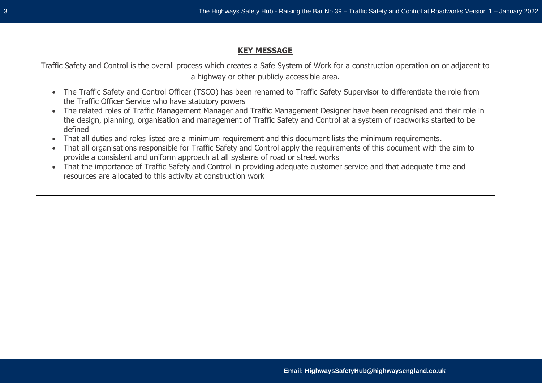## **KEY MESSAGE**

Traffic Safety and Control is the overall process which creates a Safe System of Work for a construction operation on or adjacent to a highway or other publicly accessible area.

- The Traffic Safety and Control Officer (TSCO) has been renamed to Traffic Safety Supervisor to differentiate the role from the Traffic Officer Service who have statutory powers
- The related roles of Traffic Management Manager and Traffic Management Designer have been recognised and their role in the design, planning, organisation and management of Traffic Safety and Control at a system of roadworks started to be defined
- That all duties and roles listed are a minimum requirement and this document lists the minimum requirements.
- That all organisations responsible for Traffic Safety and Control apply the requirements of this document with the aim to provide a consistent and uniform approach at all systems of road or street works
- That the importance of Traffic Safety and Control in providing adequate customer service and that adequate time and resources are allocated to this activity at construction work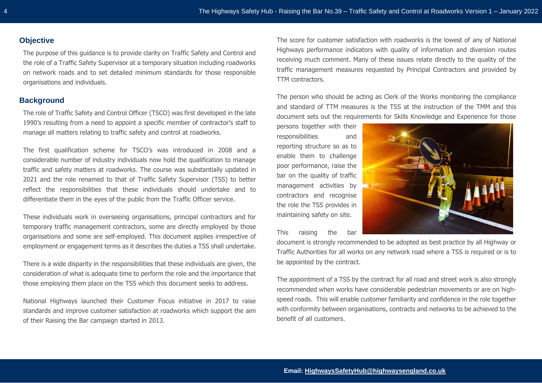## <span id="page-3-0"></span>**Objective**

The purpose of this guidance is to provide clarity on Traffic Safety and Control and the role of a Traffic Safety Supervisor at a temporary situation including roadworks on network roads and to set detailed minimum standards for those responsible organisations and individuals.

# **Background**

The role of Traffic Safety and Control Officer (TSCO) was first developed in the late 1990's resulting from a need to appoint a specific member of contractor's staff to manage all matters relating to traffic safety and control at roadworks.

The first qualification scheme for TSCO's was introduced in 2008 and a considerable number of industry individuals now hold the qualification to manage traffic and safety matters at roadworks. The course was substantially updated in 2021 and the role renamed to that of Traffic Safety Supervisor (TSS) to better reflect the responsibilities that these individuals should undertake and to differentiate them in the eyes of the public from the Traffic Officer service.

These individuals work in overseeing organisations, principal contractors and for temporary traffic management contractors, some are directly employed by those organisations and some are self-employed. This document applies irrespective of employment or engagement terms as it describes the duties a TSS shall undertake.

There is a wide disparity in the responsibilities that these individuals are given, the consideration of what is adequate time to perform the role and the importance that those employing them place on the TSS which this document seeks to address.

National Highways launched their Customer Focus initiative in 2017 to raise standards and improve customer satisfaction at roadworks which support the aim of their Raising the Bar campaign started in 2013.

The score for customer satisfaction with roadworks is the lowest of any of National Highways performance indicators with quality of information and diversion routes receiving much comment. Many of these issues relate directly to the quality of the traffic management measures requested by Principal Contractors and provided by TTM contractors.

The person who should be acting as Clerk of the Works monitoring the compliance and standard of TTM measures is the TSS at the instruction of the TMM and this document sets out the requirements for Skills Knowledge and Experience for those

persons together with their responsibilities and reporting structure so as to enable them to challenge poor performance, raise the bar on the quality of traffic management activities by contractors and recognise the role the TSS provides in maintaining safety on site.

This raising the bar



document is strongly recommended to be adopted as best practice by all Highway or Traffic Authorities for all works on any network road where a TSS is required or is to be appointed by the contract.

The appointment of a TSS by the contract for all road and street work is also strongly recommended when works have considerable pedestrian movements or are on highspeed roads. This will enable customer familiarity and confidence in the role together with conformity between organisations, contracts and networks to be achieved to the benefit of all customers.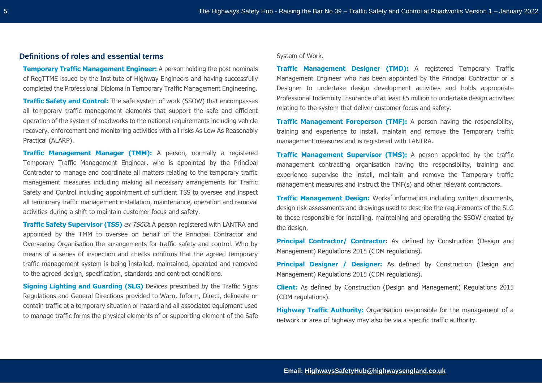#### <span id="page-4-0"></span>**Definitions of roles and essential terms**

**Temporary Traffic Management Engineer:** A person holding the post nominals of RegTTME issued by the Institute of Highway Engineers and having successfully completed the Professional Diploma in Temporary Traffic Management Engineering.

**Traffic Safety and Control:** The safe system of work (SSOW) that encompasses all temporary traffic management elements that support the safe and efficient operation of the system of roadworks to the national requirements including vehicle recovery, enforcement and monitoring activities with all risks As Low As Reasonably Practical (ALARP).

**Traffic Management Manager (TMM):** A person, normally a registered Temporary Traffic Management Engineer, who is appointed by the Principal Contractor to manage and coordinate all matters relating to the temporary traffic management measures including making all necessary arrangements for Traffic Safety and Control including appointment of sufficient TSS to oversee and inspect all temporary traffic management installation, maintenance, operation and removal activities during a shift to maintain customer focus and safety.

**Traffic Safety Supervisor (TSS)** ex TSCO: A person registered with LANTRA and appointed by the TMM to oversee on behalf of the Principal Contractor and Overseeing Organisation the arrangements for traffic safety and control. Who by means of a series of inspection and checks confirms that the agreed temporary traffic management system is being installed, maintained, operated and removed to the agreed design, specification, standards and contract conditions.

**Signing Lighting and Guarding (SLG)** Devices prescribed by the Traffic Signs Regulations and General Directions provided to Warn, Inform, Direct, delineate or contain traffic at a temporary situation or hazard and all associated equipment used to manage traffic forms the physical elements of or supporting element of the Safe

#### System of Work.

**Traffic Management Designer (TMD):** A registered Temporary Traffic Management Engineer who has been appointed by the Principal Contractor or a Designer to undertake design development activities and holds appropriate Professional Indemnity Insurance of at least £5 million to undertake design activities relating to the system that deliver customer focus and safety.

**Traffic Management Foreperson (TMF):** A person having the responsibility, training and experience to install, maintain and remove the Temporary traffic management measures and is registered with LANTRA.

**Traffic Management Supervisor (TMS):** A person appointed by the traffic management contracting organisation having the responsibility, training and experience supervise the install, maintain and remove the Temporary traffic management measures and instruct the TMF(s) and other relevant contractors.

**Traffic Management Design:** Works' information including written documents, design risk assessments and drawings used to describe the requirements of the SLG to those responsible for installing, maintaining and operating the SSOW created by the design.

**Principal Contractor/ Contractor:** As defined by Construction (Design and Management) Regulations 2015 (CDM regulations).

**Principal Designer / Designer:** As defined by Construction (Design and Management) Regulations 2015 (CDM regulations).

**Client:** As defined by Construction (Design and Management) Regulations 2015 (CDM regulations).

**Highway Traffic Authority:** Organisation responsible for the management of a network or area of highway may also be via a specific traffic authority.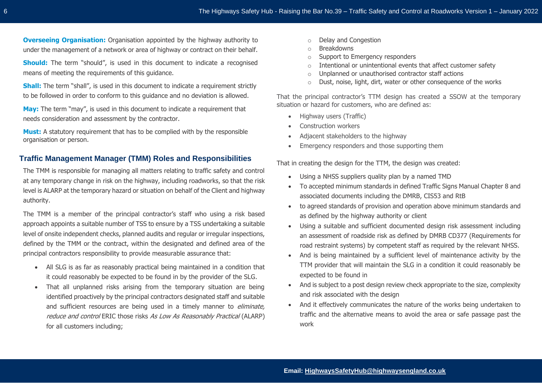**Overseeing Organisation:** Organisation appointed by the highway authority to under the management of a network or area of highway or contract on their behalf.

**Should:** The term "should", is used in this document to indicate a recognised means of meeting the requirements of this guidance.

**Shall:** The term "shall", is used in this document to indicate a requirement strictly to be followed in order to conform to this guidance and no deviation is allowed.

**May:** The term "may", is used in this document to indicate a requirement that needs consideration and assessment by the contractor.

**Must:** A statutory requirement that has to be complied with by the responsible organisation or person.

## <span id="page-5-0"></span>**Traffic Management Manager (TMM) Roles and Responsibilities**

The TMM is responsible for managing all matters relating to traffic safety and control at any temporary change in risk on the highway, including roadworks, so that the risk level is ALARP at the temporary hazard or situation on behalf of the Client and highway authority.

The TMM is a member of the principal contractor's staff who using a risk based approach appoints a suitable number of TSS to ensure by a TSS undertaking a suitable level of onsite independent checks, planned audits and regular or irregular inspections, defined by the TMM or the contract, within the designated and defined area of the principal contractors responsibility to provide measurable assurance that:

- All SLG is as far as reasonably practical being maintained in a condition that it could reasonably be expected to be found in by the provider of the SLG.
- That all unplanned risks arising from the temporary situation are being identified proactively by the principal contractors designated staff and suitable and sufficient resources are being used in a timely manner to *eliminate*, reduce and control ERIC those risks As Low As Reasonably Practical (ALARP) for all customers including;
- o Delay and Congestion
- o Breakdowns
- o Support to Emergency responders
- o Intentional or unintentional events that affect customer safety
- o Unplanned or unauthorised contractor staff actions
- o Dust, noise, light, dirt, water or other consequence of the works

That the principal contractor's TTM design has created a SSOW at the temporary situation or hazard for customers, who are defined as:

- Highway users (Traffic)
- Construction workers
- Adjacent stakeholders to the highway
- Emergency responders and those supporting them

That in creating the design for the TTM, the design was created:

- Using a NHSS suppliers quality plan by a named TMD
- To accepted minimum standards in defined Traffic Signs Manual Chapter 8 and associated documents including the DMRB, CIS53 and RtB
- to agreed standards of provision and operation above minimum standards and as defined by the highway authority or client
- Using a suitable and sufficient documented design risk assessment including an assessment of roadside risk as defined by DMRB CD377 (Requirements for road restraint systems) by competent staff as required by the relevant NHSS.
- And is being maintained by a sufficient level of maintenance activity by the TTM provider that will maintain the SLG in a condition it could reasonably be expected to be found in
- And is subject to a post design review check appropriate to the size, complexity and risk associated with the design
- And it effectively communicates the nature of the works being undertaken to traffic and the alternative means to avoid the area or safe passage past the work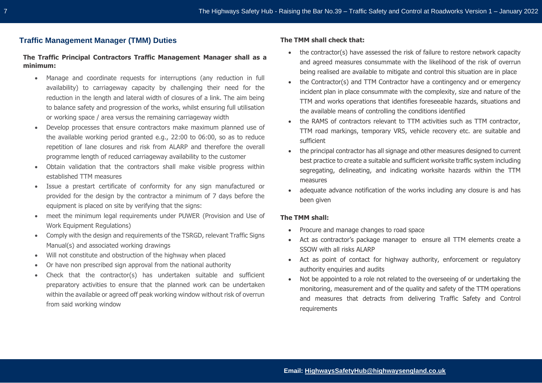## <span id="page-6-0"></span>**Traffic Management Manager (TMM) Duties**

#### **The Traffic Principal Contractors Traffic Management Manager shall as a minimum:**

- Manage and coordinate requests for interruptions (any reduction in full availability) to carriageway capacity by challenging their need for the reduction in the length and lateral width of closures of a link. The aim being to balance safety and progression of the works, whilst ensuring full utilisation or working space / area versus the remaining carriageway width
- Develop processes that ensure contractors make maximum planned use of the available working period granted e.g., 22:00 to 06:00, so as to reduce repetition of lane closures and risk from ALARP and therefore the overall programme length of reduced carriageway availability to the customer
- Obtain validation that the contractors shall make visible progress within established TTM measures
- Issue a prestart certificate of conformity for any sign manufactured or provided for the design by the contractor a minimum of 7 days before the equipment is placed on site by verifying that the signs:
- meet the minimum legal requirements under PUWER (Provision and Use of Work Equipment Regulations)
- Comply with the design and requirements of the TSRGD, relevant Traffic Signs Manual(s) and associated working drawings
- Will not constitute and obstruction of the highway when placed
- Or have non prescribed sign approval from the national authority
- Check that the contractor(s) has undertaken suitable and sufficient preparatory activities to ensure that the planned work can be undertaken within the available or agreed off peak working window without risk of overrun from said working window

#### **The TMM shall check that:**

- the contractor(s) have assessed the risk of failure to restore network capacity and agreed measures consummate with the likelihood of the risk of overrun being realised are available to mitigate and control this situation are in place
- the Contractor(s) and TTM Contractor have a contingency and or emergency incident plan in place consummate with the complexity, size and nature of the TTM and works operations that identifies foreseeable hazards, situations and the available means of controlling the conditions identified
- the RAMS of contractors relevant to TTM activities such as TTM contractor, TTM road markings, temporary VRS, vehicle recovery etc. are suitable and sufficient
- the principal contractor has all signage and other measures designed to current best practice to create a suitable and sufficient worksite traffic system including segregating, delineating, and indicating worksite hazards within the TTM measures
- adequate advance notification of the works including any closure is and has been given

#### **The TMM shall:**

- Procure and manage changes to road space
- Act as contractor's package manager to ensure all TTM elements create a SSOW with all risks ALARP
- Act as point of contact for highway authority, enforcement or regulatory authority enquiries and audits
- Not be appointed to a role not related to the overseeing of or undertaking the monitoring, measurement and of the quality and safety of the TTM operations and measures that detracts from delivering Traffic Safety and Control requirements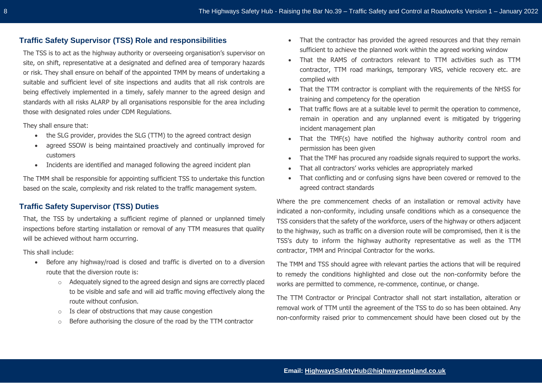## <span id="page-7-0"></span>**Traffic Safety Supervisor (TSS) Role and responsibilities**

The TSS is to act as the highway authority or overseeing organisation's supervisor on site, on shift, representative at a designated and defined area of temporary hazards or risk. They shall ensure on behalf of the appointed TMM by means of undertaking a suitable and sufficient level of site inspections and audits that all risk controls are being effectively implemented in a timely, safely manner to the agreed design and standards with all risks ALARP by all organisations responsible for the area including those with designated roles under CDM Regulations.

They shall ensure that:

- the SLG provider, provides the SLG (TTM) to the agreed contract design
- agreed SSOW is being maintained proactively and continually improved for customers
- Incidents are identified and managed following the agreed incident plan

The TMM shall be responsible for appointing sufficient TSS to undertake this function based on the scale, complexity and risk related to the traffic management system.

## <span id="page-7-1"></span>**Traffic Safety Supervisor (TSS) Duties**

That, the TSS by undertaking a sufficient regime of planned or unplanned timely inspections before starting installation or removal of any TTM measures that quality will be achieved without harm occurring.

This shall include:

- Before any highway/road is closed and traffic is diverted on to a diversion route that the diversion route is:
	- o Adequately signed to the agreed design and signs are correctly placed to be visible and safe and will aid traffic moving effectively along the route without confusion.
	- o Is clear of obstructions that may cause congestion
	- o Before authorising the closure of the road by the TTM contractor
- That the contractor has provided the agreed resources and that they remain sufficient to achieve the planned work within the agreed working window
- That the RAMS of contractors relevant to TTM activities such as TTM contractor, TTM road markings, temporary VRS, vehicle recovery etc. are complied with
- That the TTM contractor is compliant with the requirements of the NHSS for training and competency for the operation
- That traffic flows are at a suitable level to permit the operation to commence, remain in operation and any unplanned event is mitigated by triggering incident management plan
- That the TMF(s) have notified the highway authority control room and permission has been given
- That the TMF has procured any roadside signals required to support the works.
- That all contractors' works vehicles are appropriately marked
- That conflicting and or confusing signs have been covered or removed to the agreed contract standards

Where the pre commencement checks of an installation or removal activity have indicated a non-conformity, including unsafe conditions which as a consequence the TSS considers that the safety of the workforce, users of the highway or others adjacent to the highway, such as traffic on a diversion route will be compromised, then it is the TSS's duty to inform the highway authority representative as well as the TTM contractor, TMM and Principal Contractor for the works.

The TMM and TSS should agree with relevant parties the actions that will be required to remedy the conditions highlighted and close out the non-conformity before the works are permitted to commence, re-commence, continue, or change.

The TTM Contractor or Principal Contractor shall not start installation, alteration or removal work of TTM until the agreement of the TSS to do so has been obtained. Any non-conformity raised prior to commencement should have been closed out by the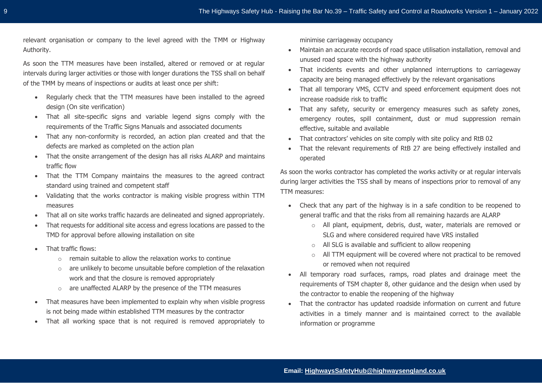relevant organisation or company to the level agreed with the TMM or Highway Authority.

As soon the TTM measures have been installed, altered or removed or at regular intervals during larger activities or those with longer durations the TSS shall on behalf of the TMM by means of inspections or audits at least once per shift:

- Regularly check that the TTM measures have been installed to the agreed design (On site verification)
- That all site-specific signs and variable legend signs comply with the requirements of the Traffic Signs Manuals and associated documents
- That any non-conformity is recorded, an action plan created and that the defects are marked as completed on the action plan
- That the onsite arrangement of the design has all risks ALARP and maintains traffic flow
- That the TTM Company maintains the measures to the agreed contract standard using trained and competent staff
- Validating that the works contractor is making visible progress within TTM measures
- That all on site works traffic hazards are delineated and signed appropriately.
- That requests for additional site access and egress locations are passed to the TMD for approval before allowing installation on site
- That traffic flows:
	- $\circ$  remain suitable to allow the relaxation works to continue
	- o are unlikely to become unsuitable before completion of the relaxation work and that the closure is removed appropriately
	- o are unaffected ALARP by the presence of the TTM measures
- That measures have been implemented to explain why when visible progress is not being made within established TTM measures by the contractor
- That all working space that is not required is removed appropriately to

minimise carriageway occupancy

- Maintain an accurate records of road space utilisation installation, removal and unused road space with the highway authority
- That incidents events and other unplanned interruptions to carriageway capacity are being managed effectively by the relevant organisations
- That all temporary VMS, CCTV and speed enforcement equipment does not increase roadside risk to traffic
- That any safety, security or emergency measures such as safety zones, emergency routes, spill containment, dust or mud suppression remain effective, suitable and available
- That contractors' vehicles on site comply with site policy and RtB 02
- That the relevant requirements of RtB 27 are being effectively installed and operated

As soon the works contractor has completed the works activity or at regular intervals during larger activities the TSS shall by means of inspections prior to removal of any TTM measures:

- Check that any part of the highway is in a safe condition to be reopened to general traffic and that the risks from all remaining hazards are ALARP
	- o All plant, equipment, debris, dust, water, materials are removed or SLG and where considered required have VRS installed
	- o All SLG is available and sufficient to allow reopening
	- o All TTM equipment will be covered where not practical to be removed or removed when not required
- All temporary road surfaces, ramps, road plates and drainage meet the requirements of TSM chapter 8, other guidance and the design when used by the contractor to enable the reopening of the highway
- That the contractor has updated roadside information on current and future activities in a timely manner and is maintained correct to the available information or programme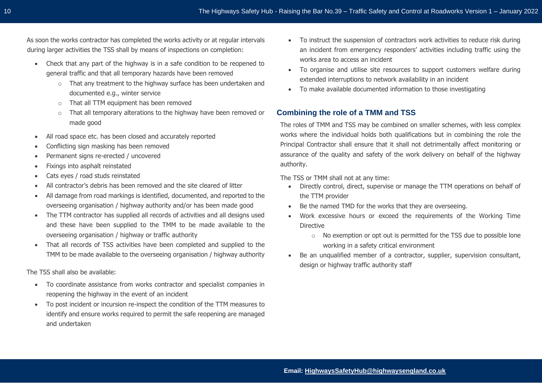As soon the works contractor has completed the works activity or at regular intervals during larger activities the TSS shall by means of inspections on completion:

- Check that any part of the highway is in a safe condition to be reopened to general traffic and that all temporary hazards have been removed
	- o That any treatment to the highway surface has been undertaken and documented e.g., winter service
	- o That all TTM equipment has been removed
	- o That all temporary alterations to the highway have been removed or made good
- All road space etc. has been closed and accurately reported
- Conflicting sign masking has been removed
- Permanent signs re-erected / uncovered
- Fixings into asphalt reinstated
- Cats eyes / road studs reinstated
- All contractor's debris has been removed and the site cleared of litter
- All damage from road markings is identified, documented, and reported to the overseeing organisation / highway authority and/or has been made good
- The TTM contractor has supplied all records of activities and all designs used and these have been supplied to the TMM to be made available to the overseeing organisation / highway or traffic authority
- That all records of TSS activities have been completed and supplied to the TMM to be made available to the overseeing organisation / highway authority

The TSS shall also be available:

- To coordinate assistance from works contractor and specialist companies in reopening the highway in the event of an incident
- To post incident or incursion re-inspect the condition of the TTM measures to identify and ensure works required to permit the safe reopening are managed and undertaken
- To instruct the suspension of contractors work activities to reduce risk during an incident from emergency responders' activities including traffic using the works area to access an incident
- To organise and utilise site resources to support customers welfare during extended interruptions to network availability in an incident
- To make available documented information to those investigating

## <span id="page-9-0"></span>**Combining the role of a TMM and TSS**

The roles of TMM and TSS may be combined on smaller schemes, with less complex works where the individual holds both qualifications but in combining the role the Principal Contractor shall ensure that it shall not detrimentally affect monitoring or assurance of the quality and safety of the work delivery on behalf of the highway authority.

The TSS or TMM shall not at any time:

- Directly control, direct, supervise or manage the TTM operations on behalf of the TTM provider
- Be the named TMD for the works that they are overseeing.
- Work excessive hours or exceed the requirements of the Working Time Directive
	- o No exemption or opt out is permitted for the TSS due to possible lone working in a safety critical environment
- Be an unqualified member of a contractor, supplier, supervision consultant, design or highway traffic authority staff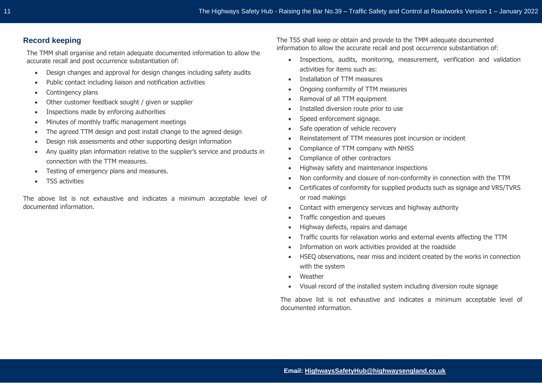## **Record keeping**

The TMM shall organise and retain adequate documented information to allow the accurate recall and post occurrence substantiation of:

- Design changes and approval for design changes including safety audits
- Public contact including liaison and notification activities
- Contingency plans
- Other customer feedback sought / given or supplier
- Inspections made by enforcing authorities
- Minutes of monthly traffic management meetings
- The agreed TTM design and post install change to the agreed design
- Design risk assessments and other supporting design information
- Any quality plan information relative to the supplier's service and products in connection with the TTM measures.
- Testing of emergency plans and measures.
- TSS activities

The above list is not exhaustive and indicates a minimum acceptable level of documented information.

The TSS shall keep or obtain and provide to the TMM adequate documented information to allow the accurate recall and post occurrence substantiation of:

- Inspections, audits, monitoring, measurement, verification and validation activities for items such as:
- Installation of TTM measures
- Ongoing conformity of TTM measures
- Removal of all TTM equipment
- Installed diversion route prior to use
- Speed enforcement signage.
- Safe operation of vehicle recovery
- Reinstatement of TTM measures post incursion or incident
- Compliance of TTM company with NHSS
- Compliance of other contractors
- Highway safety and maintenance inspections
- Non conformity and closure of non-conformity in connection with the TTM
- Certificates of conformity for supplied products such as signage and VRS/TVRS or road makings
- Contact with emergency services and highway authority
- Traffic congestion and queues
- Highway defects, repairs and damage
- Traffic counts for relaxation works and external events affecting the TTM
- Information on work activities provided at the roadside
- HSEQ observations, near miss and incident created by the works in connection with the system
- **Weather**
- Visual record of the installed system including diversion route signage

The above list is not exhaustive and indicates a minimum acceptable level of documented information.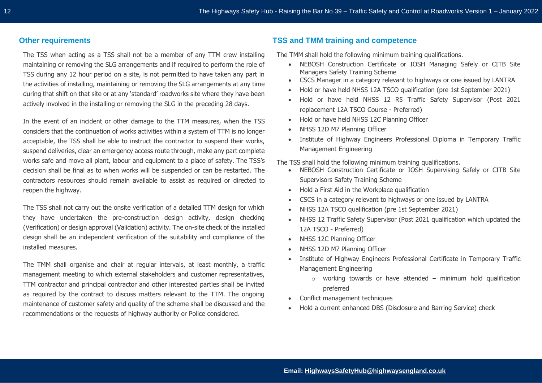### **Other requirements**

The TSS when acting as a TSS shall not be a member of any TTM crew installing maintaining or removing the SLG arrangements and if required to perform the role of TSS during any 12 hour period on a site, is not permitted to have taken any part in the activities of installing, maintaining or removing the SLG arrangements at any time during that shift on that site or at any 'standard' roadworks site where they have been actively involved in the installing or removing the SLG in the preceding 28 days.

In the event of an incident or other damage to the TTM measures, when the TSS considers that the continuation of works activities within a system of TTM is no longer acceptable, the TSS shall be able to instruct the contractor to suspend their works, suspend deliveries, clear an emergency access route through, make any part complete works safe and move all plant, labour and equipment to a place of safety. The TSS's decision shall be final as to when works will be suspended or can be restarted. The contractors resources should remain available to assist as required or directed to reopen the highway.

The TSS shall not carry out the onsite verification of a detailed TTM design for which they have undertaken the pre-construction design activity, design checking (Verification) or design approval (Validation) activity. The on-site check of the installed design shall be an independent verification of the suitability and compliance of the installed measures.

The TMM shall organise and chair at regular intervals, at least monthly, a traffic management meeting to which external stakeholders and customer representatives, TTM contractor and principal contractor and other interested parties shall be invited as required by the contract to discuss matters relevant to the TTM. The ongoing maintenance of customer safety and quality of the scheme shall be discussed and the recommendations or the requests of highway authority or Police considered.

## **TSS and TMM training and competence**

The TMM shall hold the following minimum training qualifications.

- NEBOSH Construction Certificate or IOSH Managing Safely or CITB Site Managers Safety Training Scheme
- CSCS Manager in a category relevant to highways or one issued by LANTRA
- Hold or have held NHSS 12A TSCO qualification (pre 1st September 2021)
- Hold or have held NHSS 12 R5 Traffic Safety Supervisor (Post 2021 replacement 12A TSCO Course - Preferred)
- Hold or have held NHSS 12C Planning Officer
- NHSS 12D M7 Planning Officer
- Institute of Highway Engineers Professional Diploma in Temporary Traffic Management Engineering

The TSS shall hold the following minimum training qualifications.

- NEBOSH Construction Certificate or IOSH Supervising Safely or CITB Site Supervisors Safety Training Scheme
- Hold a First Aid in the Workplace qualification
- CSCS in a category relevant to highways or one issued by LANTRA
- NHSS 12A TSCO qualification (pre 1st September 2021)
- NHSS 12 Traffic Safety Supervisor (Post 2021 qualification which updated the 12A TSCO - Preferred)
- NHSS 12C Planning Officer
- NHSS 12D M7 Planning Officer
- Institute of Highway Engineers Professional Certificate in Temporary Traffic Management Engineering
	- $\circ$  working towards or have attended minimum hold qualification preferred
- Conflict management techniques
- Hold a current enhanced DBS (Disclosure and Barring Service) check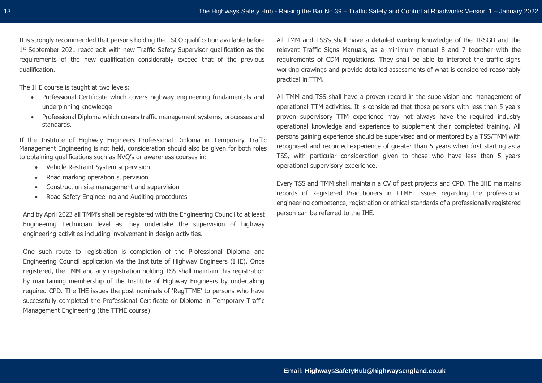The IHE course is taught at two levels:

- Professional Certificate which covers highway engineering fundamentals and underpinning knowledge
- Professional Diploma which covers traffic management systems, processes and standards.

If the Institute of Highway Engineers Professional Diploma in Temporary Traffic Management Engineering is not held, consideration should also be given for both roles to obtaining qualifications such as NVQ's or awareness courses in:

- Vehicle Restraint System supervision
- Road marking operation supervision
- Construction site management and supervision
- Road Safety Engineering and Auditing procedures

And by April 2023 all TMM's shall be registered with the Engineering Council to at least Engineering Technician level as they undertake the supervision of highway engineering activities including involvement in design activities.

One such route to registration is completion of the Professional Diploma and Engineering Council application via the Institute of Highway Engineers (IHE). Once registered, the TMM and any registration holding TSS shall maintain this registration by maintaining membership of the Institute of Highway Engineers by undertaking required CPD. The IHE issues the post nominals of 'RegTTME' to persons who have successfully completed the Professional Certificate or Diploma in Temporary Traffic Management Engineering (the TTME course)

All TMM and TSS's shall have a detailed working knowledge of the TRSGD and the relevant Traffic Signs Manuals, as a minimum manual 8 and 7 together with the requirements of CDM regulations. They shall be able to interpret the traffic signs working drawings and provide detailed assessments of what is considered reasonably practical in TTM.

All TMM and TSS shall have a proven record in the supervision and management of operational TTM activities. It is considered that those persons with less than 5 years proven supervisory TTM experience may not always have the required industry operational knowledge and experience to supplement their completed training. All persons gaining experience should be supervised and or mentored by a TSS/TMM with recognised and recorded experience of greater than 5 years when first starting as a TSS, with particular consideration given to those who have less than 5 years operational supervisory experience.

Every TSS and TMM shall maintain a CV of past projects and CPD. The IHE maintains records of Registered Practitioners in TTME. Issues regarding the professional engineering competence, registration or ethical standards of a professionally registered person can be referred to the IHE.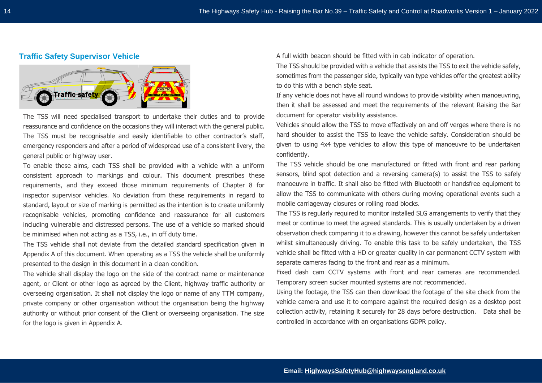#### **Traffic Safety Supervisor Vehicle**



The TSS will need specialised transport to undertake their duties and to provide reassurance and confidence on the occasions they will interact with the general public. The TSS must be recognisable and easily identifiable to other contractor's staff, emergency responders and after a period of widespread use of a consistent livery, the general public or highway user.

To enable these aims, each TSS shall be provided with a vehicle with a uniform consistent approach to markings and colour. This document prescribes these requirements, and they exceed those minimum requirements of Chapter 8 for inspector supervisor vehicles. No deviation from these requirements in regard to standard, layout or size of marking is permitted as the intention is to create uniformly recognisable vehicles, promoting confidence and reassurance for all customers including vulnerable and distressed persons. The use of a vehicle so marked should be minimised when not acting as a TSS, i.e., in off duty time.

The TSS vehicle shall not deviate from the detailed standard specification given in Appendix A of this document. When operating as a TSS the vehicle shall be uniformly presented to the design in this document in a clean condition.

The vehicle shall display the logo on the side of the contract name or maintenance agent, or Client or other logo as agreed by the Client, highway traffic authority or overseeing organisation. It shall not display the logo or name of any TTM company, private company or other organisation without the organisation being the highway authority or without prior consent of the Client or overseeing organisation. The size for the logo is given in Appendix A.

A full width beacon should be fitted with in cab indicator of operation.

The TSS should be provided with a vehicle that assists the TSS to exit the vehicle safely, sometimes from the passenger side, typically van type vehicles offer the greatest ability to do this with a bench style seat.

If any vehicle does not have all round windows to provide visibility when manoeuvring, then it shall be assessed and meet the requirements of the relevant Raising the Bar document for operator visibility assistance.

Vehicles should allow the TSS to move effectively on and off verges where there is no hard shoulder to assist the TSS to leave the vehicle safely. Consideration should be given to using 4x4 type vehicles to allow this type of manoeuvre to be undertaken confidently.

The TSS vehicle should be one manufactured or fitted with front and rear parking sensors, blind spot detection and a reversing camera(s) to assist the TSS to safely manoeuvre in traffic. It shall also be fitted with Bluetooth or handsfree equipment to allow the TSS to communicate with others during moving operational events such a mobile carriageway closures or rolling road blocks.

The TSS is regularly required to monitor installed SLG arrangements to verify that they meet or continue to meet the agreed standards. This is usually undertaken by a driven observation check comparing it to a drawing, however this cannot be safely undertaken whilst simultaneously driving. To enable this task to be safely undertaken, the TSS vehicle shall be fitted with a HD or greater quality in car permanent CCTV system with separate cameras facing to the front and rear as a minimum.

Fixed dash cam CCTV systems with front and rear cameras are recommended. Temporary screen sucker mounted systems are not recommended.

Using the footage, the TSS can then download the footage of the site check from the vehicle camera and use it to compare against the required design as a desktop post collection activity, retaining it securely for 28 days before destruction. Data shall be controlled in accordance with an organisations GDPR policy.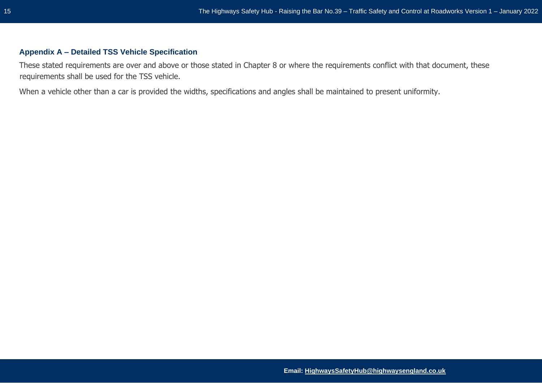## <span id="page-14-0"></span>**Appendix A – Detailed TSS Vehicle Specification**

These stated requirements are over and above or those stated in Chapter 8 or where the requirements conflict with that document, these requirements shall be used for the TSS vehicle.

When a vehicle other than a car is provided the widths, specifications and angles shall be maintained to present uniformity.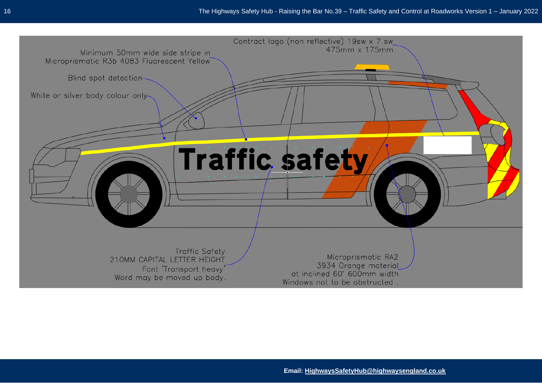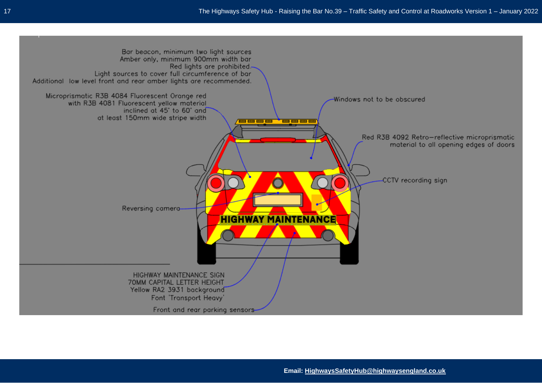